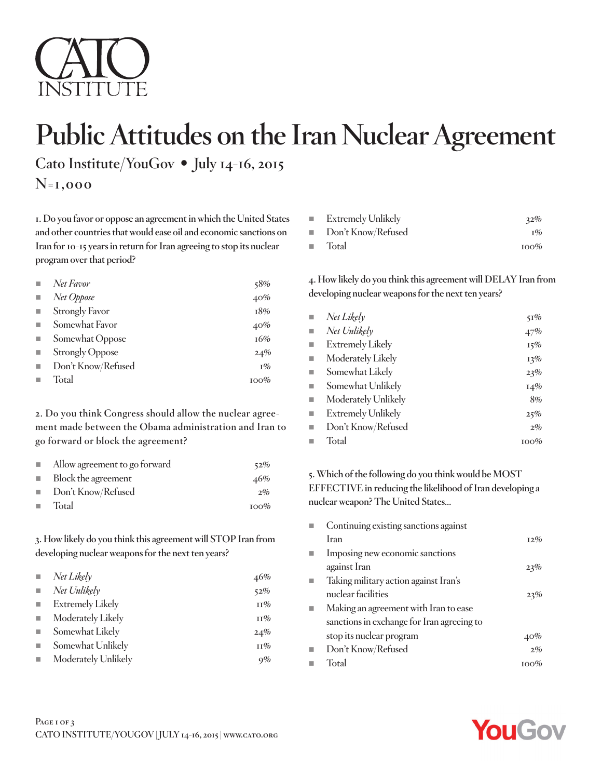

# **Public Attitudes on the Iran Nuclear Agreement**

**Cato Institute/YouGov** • **July 14-16, 2015**

**N=1,000**

**1. Do you favor or oppose an agreement in which the United States and other countries that would ease oil and economic sanctions on Iran for 10-15 years in return for Iran agreeing to stop its nuclear program over that period?**

| Net Favor              | 58%     |
|------------------------|---------|
| Net Oppose             | 40%     |
| <b>Strongly Favor</b>  | 18%     |
| Somewhat Favor         | 40%     |
| Somewhat Oppose        | 16%     |
| <b>Strongly Oppose</b> | 24%     |
| Don't Know/Refused     | $1\%$   |
| Total                  | $100\%$ |

**2. Do you think Congress should allow the nuclear agreement made between the Obama administration and Iran to go forward or block the agreement?**

| $\mathcal{L}_{\mathcal{A}}$ | Allow agreement to go forward | 52%     |
|-----------------------------|-------------------------------|---------|
|                             | Block the agreement           | 46%     |
|                             | Don't Know/Refused            | $2\%$   |
| $\mathcal{L}_{\mathcal{A}}$ | Total                         | $100\%$ |

**3. How likely do you think this agreement will STOP Iran from developing nuclear weapons for the next ten years?**

|                             | Net Likely              | 46%    |
|-----------------------------|-------------------------|--------|
| $\mathcal{L}_{\mathcal{A}}$ | Net Unlikely            | 52%    |
| $\mathcal{L}_{\mathcal{A}}$ | <b>Extremely Likely</b> | $11\%$ |
| $\mathcal{L}_{\mathcal{A}}$ | Moderately Likely       | $11\%$ |
| $\mathcal{L}_{\mathcal{A}}$ | Somewhat Likely         | 24%    |
|                             | Somewhat Unlikely       | $11\%$ |
|                             | Moderately Unlikely     | 9%     |
|                             |                         |        |

| <b>Extremely Unlikely</b> | 32%                    |
|---------------------------|------------------------|
| ■ Don't Know/Refused      | $\mathbb{I}^{0}\!/\!o$ |
| $\blacksquare$ Total      | $100\%$                |

**4. How likely do you think this agreement will DELAY Iran from developing nuclear weapons for the next ten years?**

| ш                        | Net Likely                | 51%    |
|--------------------------|---------------------------|--------|
| $\overline{\phantom{a}}$ | Net Unlikely              | 47%    |
| $\overline{\phantom{a}}$ | <b>Extremely Likely</b>   | $15\%$ |
| $\overline{\phantom{a}}$ | Moderately Likely         | 13%    |
| $\blacksquare$           | Somewhat Likely           | 23%    |
| u,                       | Somewhat Unlikely         | $14\%$ |
| $\blacksquare$           | Moderately Unlikely       | 8%     |
| $\overline{\phantom{a}}$ | <b>Extremely Unlikely</b> | 25%    |
| ш                        | Don't Know/Refused        | $2\%$  |
| г                        | Total                     | 100%   |

**5. Which of the following do you think would be MOST EFFECTIVE in reducing the likelihood of Iran developing a nuclear weapon? The United States…**

| Continuing existing sanctions against      |        |
|--------------------------------------------|--------|
| Iran                                       | $12\%$ |
| Imposing new economic sanctions            |        |
| against Iran                               | 23%    |
| Taking military action against Iran's      |        |
| nuclear facilities                         | 23%    |
| Making an agreement with Iran to ease      |        |
| sanctions in exchange for Iran agreeing to |        |
| stop its nuclear program                   | 40%    |
| Don't Know/Refused                         | $2\%$  |
| Total                                      | 100%   |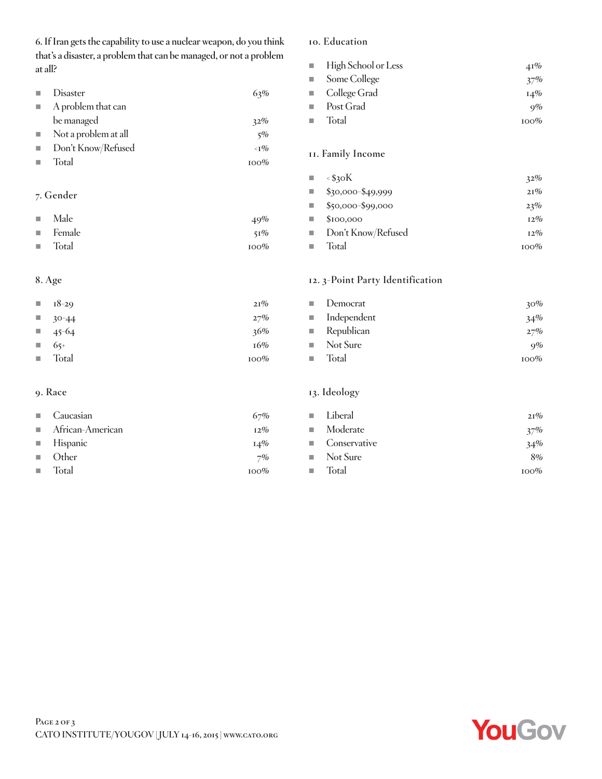**6. If Iran gets the capability to use a nuclear weapon, do you think that's a disaster, a problem that can be managed, or not a problem at all?**

| Disaster             | 63%                                      |
|----------------------|------------------------------------------|
| A problem that can   |                                          |
| be managed           | 32%                                      |
| Not a problem at all | 5%                                       |
| Don't Know/Refused   | $\langle \mathbf{T} \mathbf{\%} \rangle$ |
| Total                | $100\%$                                  |
|                      |                                          |

### **7. Gender**

| $\blacksquare$ Male | 49%     |
|---------------------|---------|
| ■ Female            | $51\%$  |
| ■ Total             | $100\%$ |

#### **8. Age**

|                             | $\blacksquare$ 18-29 | 21%     |
|-----------------------------|----------------------|---------|
| $\mathcal{L}^{\mathcal{L}}$ | $30 - 44$            | 27%     |
| <b>The State</b>            | $45-64$              | 36%     |
| <b>College</b>              | $65+$                | 16%     |
| $\mathcal{L}_{\mathcal{A}}$ | Total                | $100\%$ |

#### **9. Race**

| $\Box$ Caucasian                | 67%     |
|---------------------------------|---------|
| $\blacksquare$ African-American | $12\%$  |
| $\blacksquare$ Hispanic         | $14\%$  |
| $\Box$ Other                    | 7%      |
| Total                           | $100\%$ |

#### **10. Education**

| $\blacksquare$ High School or Less | $41\%$  |
|------------------------------------|---------|
| $\blacksquare$ Some College        | 37%     |
| $\blacksquare$ College Grad        | $14\%$  |
| $\blacksquare$ Post Grad           | $9\%$   |
| $\blacksquare$ Total               | $100\%$ |

## **11. Family Income**

| ш                           | $\leq$ \$30K        | 32%     |
|-----------------------------|---------------------|---------|
| u,                          | $$30,000 - $49,999$ | 21%     |
| a.                          | \$50,000-\$99,000   | 23%     |
| u,                          | \$100,000           | $12\%$  |
| $\mathcal{L}_{\mathcal{A}}$ | Don't Know/Refused  | $12\%$  |
|                             | Total               | $100\%$ |

#### **12. 3-Point Party Identification**

|           | $\blacksquare$ Democrat    | $30\%$  |
|-----------|----------------------------|---------|
|           | $\blacksquare$ Independent | 34%     |
|           | $\blacksquare$ Republican  | 27%     |
|           | $\blacksquare$ Not Sure    | 9%      |
| <b>In</b> | Total                      | $100\%$ |

## **13. Ideology**

| ■ Liberal               | 21%     |
|-------------------------|---------|
| <b>Moderate</b>         | $37\%$  |
| ■ Conservative          | 34%     |
| $\blacksquare$ Not Sure | 8%      |
| $\blacksquare$ Total    | $100\%$ |